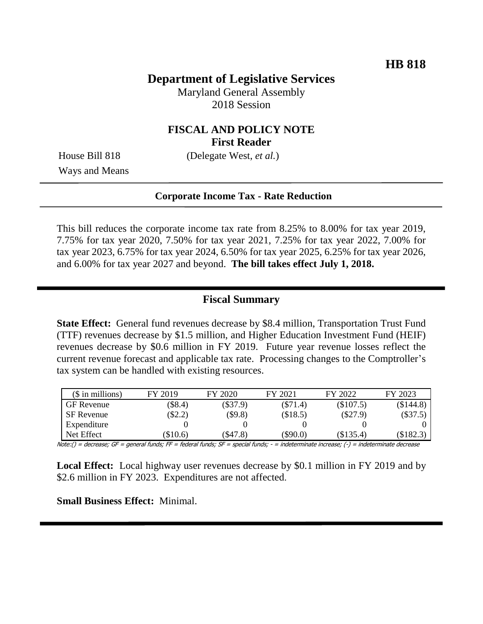# **Department of Legislative Services**

Maryland General Assembly 2018 Session

#### **FISCAL AND POLICY NOTE First Reader**

Ways and Means

House Bill 818 (Delegate West, *et al.*)

#### **Corporate Income Tax - Rate Reduction**

This bill reduces the corporate income tax rate from 8.25% to 8.00% for tax year 2019, 7.75% for tax year 2020, 7.50% for tax year 2021, 7.25% for tax year 2022, 7.00% for tax year 2023, 6.75% for tax year 2024, 6.50% for tax year 2025, 6.25% for tax year 2026, and 6.00% for tax year 2027 and beyond. **The bill takes effect July 1, 2018.** 

#### **Fiscal Summary**

**State Effect:** General fund revenues decrease by \$8.4 million, Transportation Trust Fund (TTF) revenues decrease by \$1.5 million, and Higher Education Investment Fund (HEIF) revenues decrease by \$0.6 million in FY 2019. Future year revenue losses reflect the current revenue forecast and applicable tax rate. Processing changes to the Comptroller's tax system can be handled with existing resources.

| $($$ in millions) | FY 2019  | FY 2020    | FY 2021    | FY 2022     | FY 2023     |
|-------------------|----------|------------|------------|-------------|-------------|
| <b>GF</b> Revenue | \$8.4)   | $(\$37.9)$ | $(\$71.4)$ | $(\$107.5)$ | $(\$144.8)$ |
| SF Revenue        | \$2.2)   | $(\$9.8)$  | (\$18.5)   | $(\$27.9)$  | $(\$37.5)$  |
| Expenditure       |          |            |            |             |             |
| Net Effect        | (\$10.6) | $\$47.8$   | $(\$90.0)$ | (\$135.4)   | \$182.3     |

Note:() = decrease; GF = general funds; FF = federal funds; SF = special funds; - = indeterminate increase; (-) = indeterminate decrease

**Local Effect:** Local highway user revenues decrease by \$0.1 million in FY 2019 and by \$2.6 million in FY 2023. Expenditures are not affected.

**Small Business Effect:** Minimal.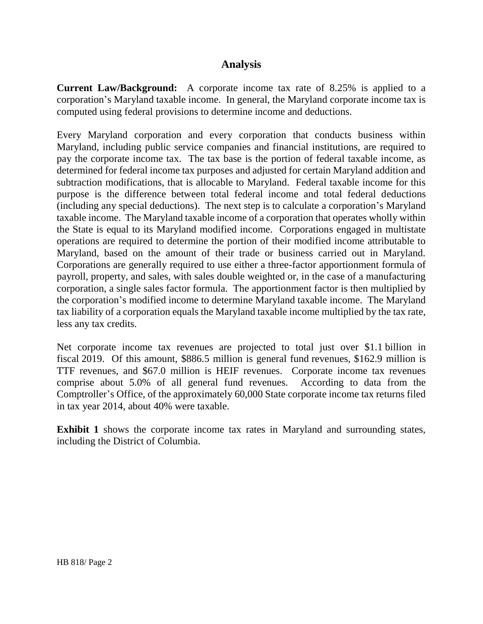### **Analysis**

**Current Law/Background:** A corporate income tax rate of 8.25% is applied to a corporation's Maryland taxable income. In general, the Maryland corporate income tax is computed using federal provisions to determine income and deductions.

Every Maryland corporation and every corporation that conducts business within Maryland, including public service companies and financial institutions, are required to pay the corporate income tax. The tax base is the portion of federal taxable income, as determined for federal income tax purposes and adjusted for certain Maryland addition and subtraction modifications, that is allocable to Maryland. Federal taxable income for this purpose is the difference between total federal income and total federal deductions (including any special deductions). The next step is to calculate a corporation's Maryland taxable income. The Maryland taxable income of a corporation that operates wholly within the State is equal to its Maryland modified income. Corporations engaged in multistate operations are required to determine the portion of their modified income attributable to Maryland, based on the amount of their trade or business carried out in Maryland. Corporations are generally required to use either a three-factor apportionment formula of payroll, property, and sales, with sales double weighted or, in the case of a manufacturing corporation, a single sales factor formula. The apportionment factor is then multiplied by the corporation's modified income to determine Maryland taxable income. The Maryland tax liability of a corporation equals the Maryland taxable income multiplied by the tax rate, less any tax credits.

Net corporate income tax revenues are projected to total just over \$1.1 billion in fiscal 2019. Of this amount, \$886.5 million is general fund revenues, \$162.9 million is TTF revenues, and \$67.0 million is HEIF revenues. Corporate income tax revenues comprise about 5.0% of all general fund revenues. According to data from the Comptroller's Office, of the approximately 60,000 State corporate income tax returns filed in tax year 2014, about 40% were taxable.

**Exhibit 1** shows the corporate income tax rates in Maryland and surrounding states, including the District of Columbia.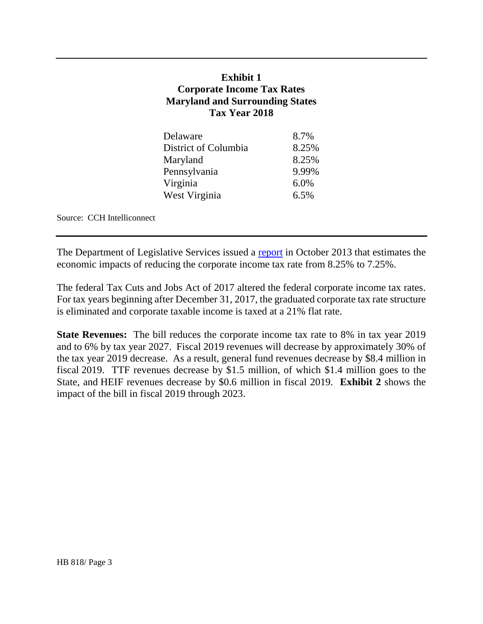### **Exhibit 1 Corporate Income Tax Rates Maryland and Surrounding States Tax Year 2018**

| 8.7%  |
|-------|
| 8.25% |
| 8.25% |
| 9.99% |
| 6.0%  |
| 6.5%  |
|       |

Source: CCH Intelliconnect

The Department of Legislative Services issued a [report](http://mgaleg.maryland.gov/Pubs/BudgetFiscal/2013-Corporate-Income-Tax-Analysis-Report.pdf) in October 2013 that estimates the economic impacts of reducing the corporate income tax rate from 8.25% to 7.25%.

The federal Tax Cuts and Jobs Act of 2017 altered the federal corporate income tax rates. For tax years beginning after December 31, 2017, the graduated corporate tax rate structure is eliminated and corporate taxable income is taxed at a 21% flat rate.

**State Revenues:** The bill reduces the corporate income tax rate to 8% in tax year 2019 and to 6% by tax year 2027. Fiscal 2019 revenues will decrease by approximately 30% of the tax year 2019 decrease. As a result, general fund revenues decrease by \$8.4 million in fiscal 2019. TTF revenues decrease by \$1.5 million, of which \$1.4 million goes to the State, and HEIF revenues decrease by \$0.6 million in fiscal 2019. **Exhibit 2** shows the impact of the bill in fiscal 2019 through 2023.